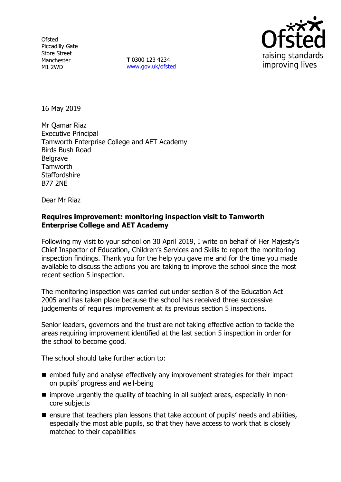**Ofsted** Piccadilly Gate Store Street Manchester M1 2WD

**T** 0300 123 4234 www.gov.uk/ofsted



16 May 2019

Mr Qamar Riaz Executive Principal Tamworth Enterprise College and AET Academy Birds Bush Road **Belgrave Tamworth Staffordshire** B77 2NE

Dear Mr Riaz

### **Requires improvement: monitoring inspection visit to Tamworth Enterprise College and AET Academy**

Following my visit to your school on 30 April 2019, I write on behalf of Her Majesty's Chief Inspector of Education, Children's Services and Skills to report the monitoring inspection findings. Thank you for the help you gave me and for the time you made available to discuss the actions you are taking to improve the school since the most recent section 5 inspection.

The monitoring inspection was carried out under section 8 of the Education Act 2005 and has taken place because the school has received three successive judgements of requires improvement at its previous section 5 inspections.

Senior leaders, governors and the trust are not taking effective action to tackle the areas requiring improvement identified at the last section 5 inspection in order for the school to become good.

The school should take further action to:

- $\blacksquare$  embed fully and analyse effectively any improvement strategies for their impact on pupils' progress and well-being
- improve urgently the quality of teaching in all subject areas, especially in noncore subjects
- ensure that teachers plan lessons that take account of pupils' needs and abilities, especially the most able pupils, so that they have access to work that is closely matched to their capabilities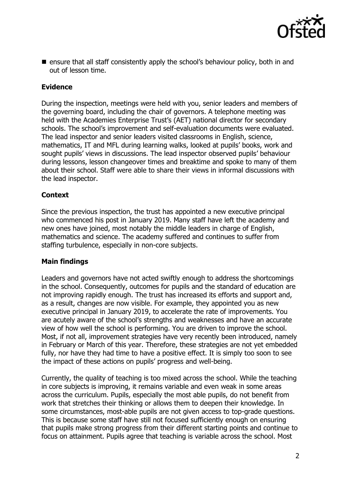

 $\blacksquare$  ensure that all staff consistently apply the school's behaviour policy, both in and out of lesson time.

# **Evidence**

During the inspection, meetings were held with you, senior leaders and members of the governing board, including the chair of governors. A telephone meeting was held with the Academies Enterprise Trust's (AET) national director for secondary schools. The school's improvement and self-evaluation documents were evaluated. The lead inspector and senior leaders visited classrooms in English, science, mathematics, IT and MFL during learning walks, looked at pupils' books, work and sought pupils' views in discussions. The lead inspector observed pupils' behaviour during lessons, lesson changeover times and breaktime and spoke to many of them about their school. Staff were able to share their views in informal discussions with the lead inspector.

# **Context**

Since the previous inspection, the trust has appointed a new executive principal who commenced his post in January 2019. Many staff have left the academy and new ones have joined, most notably the middle leaders in charge of English, mathematics and science. The academy suffered and continues to suffer from staffing turbulence, especially in non-core subjects.

# **Main findings**

Leaders and governors have not acted swiftly enough to address the shortcomings in the school. Consequently, outcomes for pupils and the standard of education are not improving rapidly enough. The trust has increased its efforts and support and, as a result, changes are now visible. For example, they appointed you as new executive principal in January 2019, to accelerate the rate of improvements. You are acutely aware of the school's strengths and weaknesses and have an accurate view of how well the school is performing. You are driven to improve the school. Most, if not all, improvement strategies have very recently been introduced, namely in February or March of this year. Therefore, these strategies are not yet embedded fully, nor have they had time to have a positive effect. It is simply too soon to see the impact of these actions on pupils' progress and well-being.

Currently, the quality of teaching is too mixed across the school. While the teaching in core subjects is improving, it remains variable and even weak in some areas across the curriculum. Pupils, especially the most able pupils, do not benefit from work that stretches their thinking or allows them to deepen their knowledge. In some circumstances, most-able pupils are not given access to top-grade questions. This is because some staff have still not focused sufficiently enough on ensuring that pupils make strong progress from their different starting points and continue to focus on attainment. Pupils agree that teaching is variable across the school. Most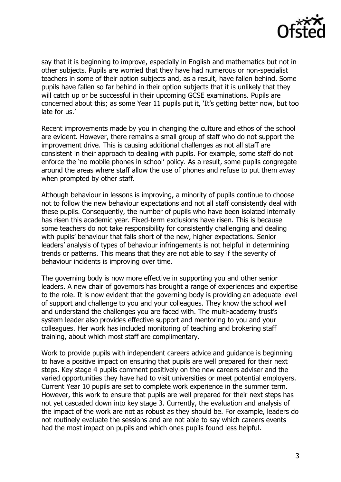

say that it is beginning to improve, especially in English and mathematics but not in other subjects. Pupils are worried that they have had numerous or non-specialist teachers in some of their option subjects and, as a result, have fallen behind. Some pupils have fallen so far behind in their option subjects that it is unlikely that they will catch up or be successful in their upcoming GCSE examinations. Pupils are concerned about this; as some Year 11 pupils put it, 'It's getting better now, but too late for us.'

Recent improvements made by you in changing the culture and ethos of the school are evident. However, there remains a small group of staff who do not support the improvement drive. This is causing additional challenges as not all staff are consistent in their approach to dealing with pupils. For example, some staff do not enforce the 'no mobile phones in school' policy. As a result, some pupils congregate around the areas where staff allow the use of phones and refuse to put them away when prompted by other staff.

Although behaviour in lessons is improving, a minority of pupils continue to choose not to follow the new behaviour expectations and not all staff consistently deal with these pupils. Consequently, the number of pupils who have been isolated internally has risen this academic year. Fixed-term exclusions have risen. This is because some teachers do not take responsibility for consistently challenging and dealing with pupils' behaviour that falls short of the new, higher expectations. Senior leaders' analysis of types of behaviour infringements is not helpful in determining trends or patterns. This means that they are not able to say if the severity of behaviour incidents is improving over time.

The governing body is now more effective in supporting you and other senior leaders. A new chair of governors has brought a range of experiences and expertise to the role. It is now evident that the governing body is providing an adequate level of support and challenge to you and your colleagues. They know the school well and understand the challenges you are faced with. The multi-academy trust's system leader also provides effective support and mentoring to you and your colleagues. Her work has included monitoring of teaching and brokering staff training, about which most staff are complimentary.

Work to provide pupils with independent careers advice and guidance is beginning to have a positive impact on ensuring that pupils are well prepared for their next steps. Key stage 4 pupils comment positively on the new careers adviser and the varied opportunities they have had to visit universities or meet potential employers. Current Year 10 pupils are set to complete work experience in the summer term. However, this work to ensure that pupils are well prepared for their next steps has not yet cascaded down into key stage 3. Currently, the evaluation and analysis of the impact of the work are not as robust as they should be. For example, leaders do not routinely evaluate the sessions and are not able to say which careers events had the most impact on pupils and which ones pupils found less helpful.